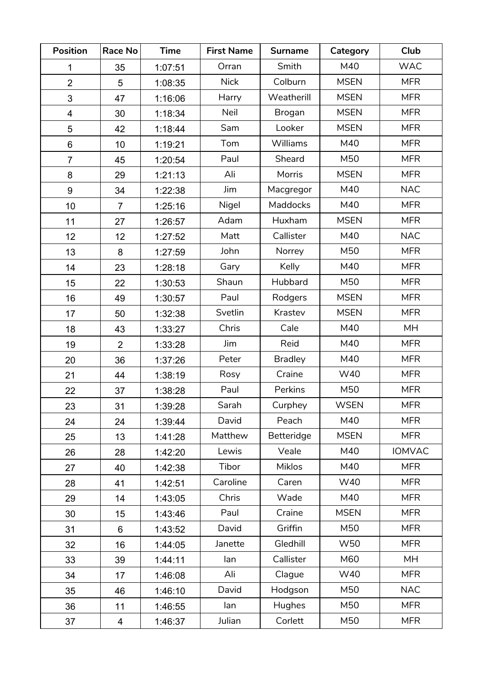| <b>Position</b>         | <b>Race No</b> | <b>Time</b> | <b>First Name</b> | <b>Surname</b>  | Category    | Club          |
|-------------------------|----------------|-------------|-------------------|-----------------|-------------|---------------|
| 1                       | 35             | 1:07:51     | Orran             | Smith           | M40         | <b>WAC</b>    |
| $\overline{2}$          | 5              | 1:08:35     | <b>Nick</b>       | Colburn         | <b>MSEN</b> | <b>MFR</b>    |
| 3                       | 47             | 1:16:06     | Harry             | Weatherill      | <b>MSEN</b> | <b>MFR</b>    |
| $\overline{\mathbf{4}}$ | 30             | 1:18:34     | Neil              | Brogan          | <b>MSEN</b> | <b>MFR</b>    |
| 5                       | 42             | 1:18:44     | Sam               | Looker          | <b>MSEN</b> | <b>MFR</b>    |
| 6                       | 10             | 1:19:21     | Tom               | Williams        | M40         | <b>MFR</b>    |
| $\overline{7}$          | 45             | 1:20:54     | Paul              | Sheard          | M50         | <b>MFR</b>    |
| 8                       | 29             | 1:21:13     | Ali               | Morris          | <b>MSEN</b> | <b>MFR</b>    |
| 9                       | 34             | 1:22:38     | Jim               | Macgregor       | M40         | <b>NAC</b>    |
| 10                      | $\overline{7}$ | 1:25:16     | Nigel             | <b>Maddocks</b> | M40         | <b>MFR</b>    |
| 11                      | 27             | 1:26:57     | Adam              | Huxham          | <b>MSEN</b> | <b>MFR</b>    |
| 12                      | 12             | 1:27:52     | Matt              | Callister       | M40         | <b>NAC</b>    |
| 13                      | 8              | 1:27:59     | John              | Norrey          | M50         | <b>MFR</b>    |
| 14                      | 23             | 1:28:18     | Gary              | Kelly           | M40         | <b>MFR</b>    |
| 15                      | 22             | 1:30:53     | Shaun             | Hubbard         | M50         | <b>MFR</b>    |
| 16                      | 49             | 1:30:57     | Paul              | Rodgers         | <b>MSEN</b> | <b>MFR</b>    |
| 17                      | 50             | 1:32:38     | Svetlin           | Krastev         | <b>MSEN</b> | <b>MFR</b>    |
| 18                      | 43             | 1:33:27     | Chris             | Cale            | M40         | <b>MH</b>     |
| 19                      | $\overline{2}$ | 1:33:28     | Jim               | Reid            | M40         | <b>MFR</b>    |
| 20                      | 36             | 1:37:26     | Peter             | <b>Bradley</b>  | M40         | <b>MFR</b>    |
| 21                      | 44             | 1:38:19     | Rosy              | Craine          | W40         | <b>MFR</b>    |
| 22                      | 37             | 1:38:28     | Paul              | Perkins         | M50         | <b>MFR</b>    |
| 23                      | 31             | 1:39:28     | Sarah             | Curphey         | <b>WSEN</b> | <b>MFR</b>    |
| 24                      | 24             | 1:39:44     | David             | Peach           | M40         | <b>MFR</b>    |
| 25                      | 13             | 1:41:28     | Matthew           | Betteridge      | <b>MSEN</b> | <b>MFR</b>    |
| 26                      | 28             | 1:42:20     | Lewis             | Veale           | M40         | <b>IOMVAC</b> |
| 27                      | 40             | 1:42:38     | Tibor             | Miklos          | M40         | <b>MFR</b>    |
| 28                      | 41             | 1:42:51     | Caroline          | Caren           | W40         | <b>MFR</b>    |
| 29                      | 14             | 1:43:05     | Chris             | Wade            | M40         | <b>MFR</b>    |
| 30                      | 15             | 1:43:46     | Paul              | Craine          | <b>MSEN</b> | <b>MFR</b>    |
| 31                      | 6              | 1:43:52     | David             | Griffin         | M50         | <b>MFR</b>    |
| 32                      | 16             | 1:44:05     | Janette           | Gledhill        | W50         | <b>MFR</b>    |
| 33                      | 39             | 1:44:11     | lan               | Callister       | M60         | <b>MH</b>     |
| 34                      | 17             | 1:46:08     | Ali               | Clague          | W40         | <b>MFR</b>    |
| 35                      | 46             | 1:46:10     | David             | Hodgson         | M50         | <b>NAC</b>    |
| 36                      | 11             | 1:46:55     | lan               | Hughes          | M50         | <b>MFR</b>    |
| 37                      | 4              | 1:46:37     | Julian            | Corlett         | M50         | <b>MFR</b>    |